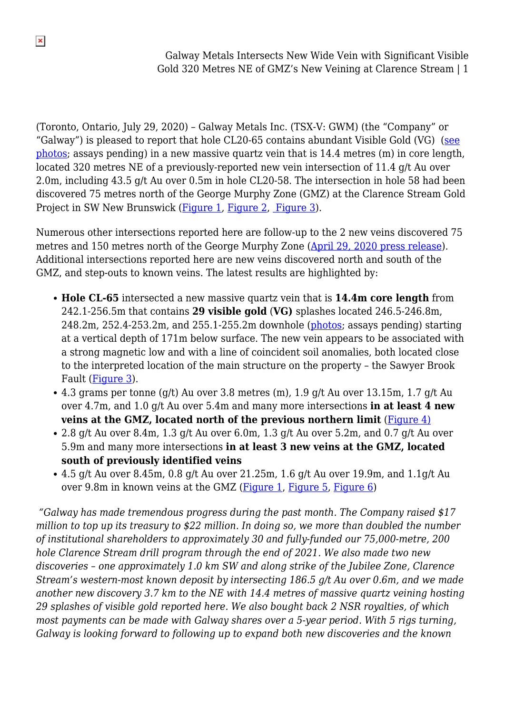(Toronto, Ontario, July 29, 2020) – Galway Metals Inc. (TSX-V: GWM) (the "Company" or "Galway") is pleased to report that hole CL20-65 contains abundant Visible Gold (VG) ([see](https://galwaymetalsinc.com/wp-content/uploads/2020/07/VG-Photos-DH-65.pdf) [photos](https://galwaymetalsinc.com/wp-content/uploads/2020/07/VG-Photos-DH-65.pdf); assays pending) in a new massive quartz vein that is 14.4 metres (m) in core length, located 320 metres NE of a previously-reported new vein intersection of 11.4 g/t Au over 2.0m, including 43.5 g/t Au over 0.5m in hole CL20-58. The intersection in hole 58 had been discovered 75 metres north of the George Murphy Zone (GMZ) at the Clarence Stream Gold Project in SW New Brunswick ([Figure 1](https://galwaymetalsinc.com/wp-content/uploads/2020/07/FIGURE-1-1.jpg), [Figure 2,](https://galwaymetalsinc.com/wp-content/uploads/2020/07/FIGURE-2-1-scaled.jpg) [Figure 3\)](https://galwaymetalsinc.com/wp-content/uploads/2020/07/FIGURE-3-1-scaled.jpg).

Numerous other intersections reported here are follow-up to the 2 new veins discovered 75 metres and 150 metres north of the George Murphy Zone ([April 29, 2020 press release\)](https://galwaymetalsinc.com/2020/04/galway-metals-intersects-6-5-g-t-au-over-14-05-metres-extending-the-gmz-at-clarence-stream/). Additional intersections reported here are new veins discovered north and south of the GMZ, and step-outs to known veins. The latest results are highlighted by:

- **Hole CL-65** intersected a new massive quartz vein that is **14.4m core length** from 242.1-256.5m that contains **29 visible gold** (**VG)** splashes located 246.5-246.8m, 248.2m, 252.4-253.2m, and 255.1-255.2m downhole [\(photos](https://galwaymetalsinc.com/wp-content/uploads/2020/07/VG-Photos-DH-65.pdf); assays pending) starting at a vertical depth of 171m below surface. The new vein appears to be associated with a strong magnetic low and with a line of coincident soil anomalies, both located close to the interpreted location of the main structure on the property – the Sawyer Brook Fault ([Figure 3](https://galwaymetalsinc.com/wp-content/uploads/2020/07/FIGURE-3-1-scaled.jpg)).
- 4.3 grams per tonne (g/t) Au over 3.8 metres (m), 1.9 g/t Au over 13.15m, 1.7 g/t Au over 4.7m, and 1.0 g/t Au over 5.4m and many more intersections **in at least 4 new veins at the GMZ, located north of the previous northern limit** [\(Figure 4\)](https://galwaymetalsinc.com/wp-content/uploads/2020/07/FIGURE-4-1.jpg)
- $\bullet$  2.8 g/t Au over 8.4m, 1.3 g/t Au over 6.0m, 1.3 g/t Au over 5.2m, and 0.7 g/t Au over 5.9m and many more intersections **in at least 3 new veins at the GMZ, located south of previously identified veins**
- 4.5 g/t Au over 8.45m, 0.8 g/t Au over  $21.25m$ , 1.6 g/t Au over 19.9m, and  $1.1g/t$  Au over 9.8m in known veins at the GMZ [\(Figure 1](https://galwaymetalsinc.com/wp-content/uploads/2020/07/FIGURE-1-1.jpg), [Figure 5,](https://galwaymetalsinc.com/wp-content/uploads/2020/07/FIGURE-4.jpg) [Figure 6](https://galwaymetalsinc.com/wp-content/uploads/2020/07/FIGURE-5.jpg))

*"Galway has made tremendous progress during the past month. The Company raised \$17 million to top up its treasury to \$22 million. In doing so, we more than doubled the number of institutional shareholders to approximately 30 and fully-funded our 75,000-metre, 200 hole Clarence Stream drill program through the end of 2021. We also made two new discoveries – one approximately 1.0 km SW and along strike of the Jubilee Zone, Clarence Stream's western-most known deposit by intersecting 186.5 g/t Au over 0.6m, and we made another new discovery 3.7 km to the NE with 14.4 metres of massive quartz veining hosting 29 splashes of visible gold reported here. We also bought back 2 NSR royalties, of which most payments can be made with Galway shares over a 5-year period. With 5 rigs turning, Galway is looking forward to following up to expand both new discoveries and the known*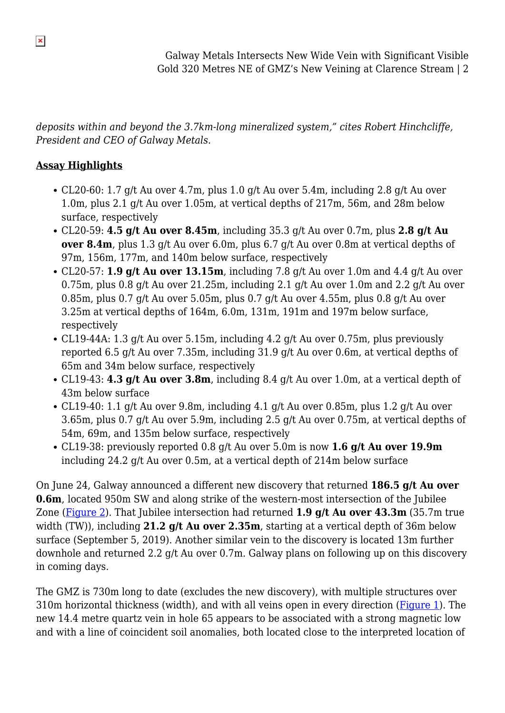*deposits within and beyond the 3.7km-long mineralized system," cites Robert Hinchcliffe, President and CEO of Galway Metals.*

## **Assay Highlights**

- CL20-60: 1.7 g/t Au over 4.7m, plus 1.0 g/t Au over 5.4m, including 2.8 g/t Au over 1.0m, plus 2.1 g/t Au over 1.05m, at vertical depths of 217m, 56m, and 28m below surface, respectively
- CL20-59: **4.5 g/t Au over 8.45m**, including 35.3 g/t Au over 0.7m, plus **2.8 g/t Au over 8.4m**, plus 1.3 g/t Au over 6.0m, plus 6.7 g/t Au over 0.8m at vertical depths of 97m, 156m, 177m, and 140m below surface, respectively
- CL20-57: **1.9 g/t Au over 13.15m**, including 7.8 g/t Au over 1.0m and 4.4 g/t Au over 0.75m, plus 0.8 g/t Au over 21.25m, including 2.1 g/t Au over 1.0m and 2.2 g/t Au over 0.85m, plus 0.7 g/t Au over 5.05m, plus 0.7 g/t Au over 4.55m, plus 0.8 g/t Au over 3.25m at vertical depths of 164m, 6.0m, 131m, 191m and 197m below surface, respectively
- CL19-44A: 1.3 g/t Au over 5.15m, including 4.2 g/t Au over 0.75m, plus previously reported 6.5 g/t Au over 7.35m, including 31.9 g/t Au over 0.6m, at vertical depths of 65m and 34m below surface, respectively
- CL19-43: **4.3 g/t Au over 3.8m**, including 8.4 g/t Au over 1.0m, at a vertical depth of 43m below surface
- CL19-40: 1.1 g/t Au over 9.8m, including 4.1 g/t Au over 0.85m, plus 1.2 g/t Au over 3.65m, plus 0.7 g/t Au over 5.9m, including 2.5 g/t Au over 0.75m, at vertical depths of 54m, 69m, and 135m below surface, respectively
- CL19-38: previously reported 0.8 g/t Au over 5.0m is now **1.6 g/t Au over 19.9m** including 24.2 g/t Au over 0.5m, at a vertical depth of 214m below surface

On June 24, Galway announced a different new discovery that returned **186.5 g/t Au over 0.6m**, located 950m SW and along strike of the western-most intersection of the Jubilee Zone ([Figure 2](https://galwaymetalsinc.com/wp-content/uploads/2020/07/FIGURE-2-1-scaled.jpg)). That Jubilee intersection had returned **1.9 g/t Au over 43.3m** (35.7m true width (TW)), including **21.2 g/t Au over 2.35m**, starting at a vertical depth of 36m below surface (September 5, 2019). Another similar vein to the discovery is located 13m further downhole and returned 2.2 g/t Au over 0.7m. Galway plans on following up on this discovery in coming days.

The GMZ is 730m long to date (excludes the new discovery), with multiple structures over 310m horizontal thickness (width), and with all veins open in every direction [\(Figure 1\)](https://galwaymetalsinc.com/wp-content/uploads/2020/07/FIGURE-1-1.jpg). The new 14.4 metre quartz vein in hole 65 appears to be associated with a strong magnetic low and with a line of coincident soil anomalies, both located close to the interpreted location of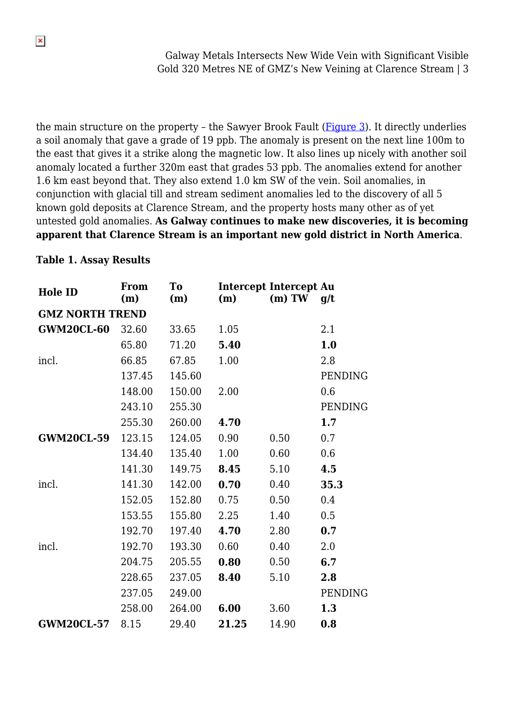the main structure on the property - the Sawyer Brook Fault ([Figure 3](https://galwaymetalsinc.com/wp-content/uploads/2020/07/FIGURE-3-1-scaled.jpg)). It directly underlies a soil anomaly that gave a grade of 19 ppb. The anomaly is present on the next line 100m to the east that gives it a strike along the magnetic low. It also lines up nicely with another soil anomaly located a further 320m east that grades 53 ppb. The anomalies extend for another 1.6 km east beyond that. They also extend 1.0 km SW of the vein. Soil anomalies, in conjunction with glacial till and stream sediment anomalies led to the discovery of all 5 known gold deposits at Clarence Stream, and the property hosts many other as of yet untested gold anomalies. **As Galway continues to make new discoveries, it is becoming apparent that Clarence Stream is an important new gold district in North America**.

#### **Table 1. Assay Results**

| <b>Hole ID</b>         | From<br>(m) | To<br>(m) | (m)   | <b>Intercept Intercept Au</b><br>$(m)$ TW | q/t     |
|------------------------|-------------|-----------|-------|-------------------------------------------|---------|
| <b>GMZ NORTH TREND</b> |             |           |       |                                           |         |
| <b>GWM20CL-60</b>      | 32.60       | 33.65     | 1.05  |                                           | 2.1     |
|                        | 65.80       | 71.20     | 5.40  |                                           | 1.0     |
| incl.                  | 66.85       | 67.85     | 1.00  |                                           | 2.8     |
|                        | 137.45      | 145.60    |       |                                           | PENDING |
|                        | 148.00      | 150.00    | 2.00  |                                           | 0.6     |
|                        | 243.10      | 255.30    |       |                                           | PENDING |
|                        | 255.30      | 260.00    | 4.70  |                                           | 1.7     |
| <b>GWM20CL-59</b>      | 123.15      | 124.05    | 0.90  | 0.50                                      | 0.7     |
|                        | 134.40      | 135.40    | 1.00  | 0.60                                      | 0.6     |
|                        | 141.30      | 149.75    | 8.45  | 5.10                                      | 4.5     |
| incl.                  | 141.30      | 142.00    | 0.70  | 0.40                                      | 35.3    |
|                        | 152.05      | 152.80    | 0.75  | 0.50                                      | 0.4     |
|                        | 153.55      | 155.80    | 2.25  | 1.40                                      | 0.5     |
|                        | 192.70      | 197.40    | 4.70  | 2.80                                      | 0.7     |
| incl.                  | 192.70      | 193.30    | 0.60  | 0.40                                      | 2.0     |
|                        | 204.75      | 205.55    | 0.80  | 0.50                                      | 6.7     |
|                        | 228.65      | 237.05    | 8.40  | 5.10                                      | 2.8     |
|                        | 237.05      | 249.00    |       |                                           | PENDING |
|                        | 258.00      | 264.00    | 6.00  | 3.60                                      | 1.3     |
| <b>GWM20CL-57</b>      | 8.15        | 29.40     | 21.25 | 14.90                                     | 0.8     |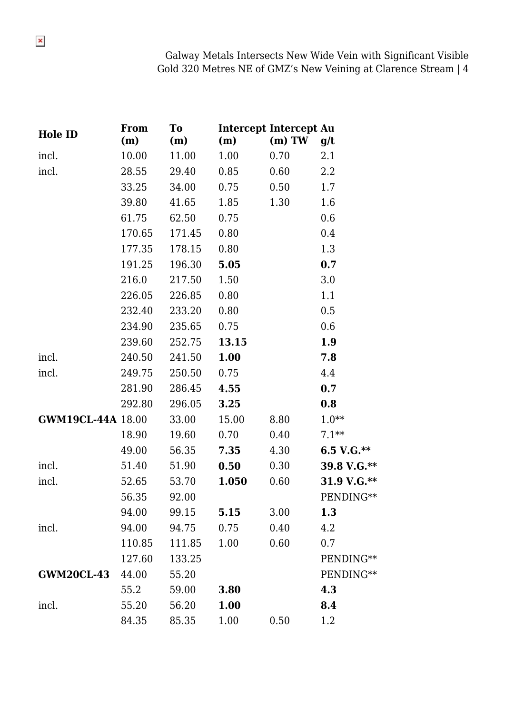| <b>Hole ID</b>           | From<br>(m) | To<br>(m) | (m)   | <b>Intercept Intercept Au</b><br>$(m)$ TW | g/t           |
|--------------------------|-------------|-----------|-------|-------------------------------------------|---------------|
| incl.                    | 10.00       | 11.00     | 1.00  | 0.70                                      | 2.1           |
| incl.                    | 28.55       | 29.40     | 0.85  | 0.60                                      | 2.2           |
|                          | 33.25       | 34.00     | 0.75  | 0.50                                      | 1.7           |
|                          | 39.80       | 41.65     | 1.85  | 1.30                                      | 1.6           |
|                          | 61.75       | 62.50     | 0.75  |                                           | 0.6           |
|                          | 170.65      | 171.45    | 0.80  |                                           | 0.4           |
|                          | 177.35      | 178.15    | 0.80  |                                           | 1.3           |
|                          | 191.25      | 196.30    | 5.05  |                                           | 0.7           |
|                          | 216.0       | 217.50    | 1.50  |                                           | 3.0           |
|                          | 226.05      | 226.85    | 0.80  |                                           | 1.1           |
|                          | 232.40      | 233.20    | 0.80  |                                           | 0.5           |
|                          | 234.90      | 235.65    | 0.75  |                                           | 0.6           |
|                          | 239.60      | 252.75    | 13.15 |                                           | 1.9           |
| incl.                    | 240.50      | 241.50    | 1.00  |                                           | 7.8           |
| incl.                    | 249.75      | 250.50    | 0.75  |                                           | 4.4           |
|                          | 281.90      | 286.45    | 4.55  |                                           | 0.7           |
|                          | 292.80      | 296.05    | 3.25  |                                           | 0.8           |
| <b>GWM19CL-44A 18.00</b> |             | 33.00     | 15.00 | 8.80                                      | $1.0**$       |
|                          | 18.90       | 19.60     | 0.70  | 0.40                                      | $7.1**$       |
|                          | 49.00       | 56.35     | 7.35  | 4.30                                      | 6.5 V.G. $**$ |
| incl.                    | 51.40       | 51.90     | 0.50  | 0.30                                      | 39.8 V.G.**   |
| incl.                    | 52.65       | 53.70     | 1.050 | 0.60                                      | 31.9 V.G.**   |
|                          | 56.35       | 92.00     |       |                                           | PENDING**     |
|                          | 94.00       | 99.15     | 5.15  | 3.00                                      | 1.3           |
| incl.                    | 94.00       | 94.75     | 0.75  | 0.40                                      | 4.2           |
|                          | 110.85      | 111.85    | 1.00  | 0.60                                      | 0.7           |
|                          | 127.60      | 133.25    |       |                                           | PENDING**     |
| <b>GWM20CL-43</b>        | 44.00       | 55.20     |       |                                           | PENDING**     |
|                          | 55.2        | 59.00     | 3.80  |                                           | 4.3           |
| incl.                    | 55.20       | 56.20     | 1.00  |                                           | 8.4           |
|                          | 84.35       | 85.35     | 1.00  | 0.50                                      | 1.2           |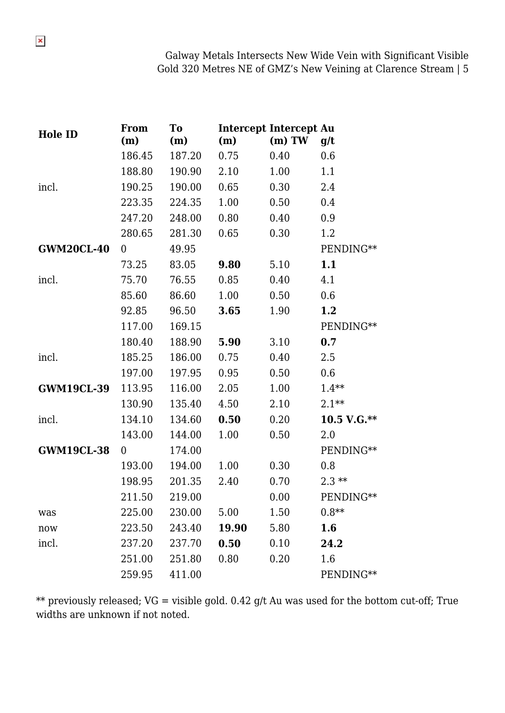| <b>Hole ID</b>    | <b>From</b><br>(m) | <b>To</b><br>(m) | (m)   | <b>Intercept Intercept Au</b><br>$(m)$ TW | g/t           |
|-------------------|--------------------|------------------|-------|-------------------------------------------|---------------|
|                   | 186.45             | 187.20           | 0.75  | 0.40                                      | 0.6           |
|                   | 188.80             | 190.90           | 2.10  | 1.00                                      | 1.1           |
| incl.             | 190.25             | 190.00           | 0.65  | 0.30                                      | 2.4           |
|                   | 223.35             | 224.35           | 1.00  | 0.50                                      | 0.4           |
|                   | 247.20             | 248.00           | 0.80  | 0.40                                      | 0.9           |
|                   | 280.65             | 281.30           | 0.65  | 0.30                                      | 1.2           |
| <b>GWM20CL-40</b> | 0                  | 49.95            |       |                                           | PENDING**     |
|                   | 73.25              | 83.05            | 9.80  | 5.10                                      | 1.1           |
| incl.             | 75.70              | 76.55            | 0.85  | 0.40                                      | 4.1           |
|                   | 85.60              | 86.60            | 1.00  | 0.50                                      | 0.6           |
|                   | 92.85              | 96.50            | 3.65  | 1.90                                      | 1.2           |
|                   | 117.00             | 169.15           |       |                                           | PENDING**     |
|                   | 180.40             | 188.90           | 5.90  | 3.10                                      | 0.7           |
| incl.             | 185.25             | 186.00           | 0.75  | 0.40                                      | 2.5           |
|                   | 197.00             | 197.95           | 0.95  | 0.50                                      | 0.6           |
| <b>GWM19CL-39</b> | 113.95             | 116.00           | 2.05  | 1.00                                      | $1.4**$       |
|                   | 130.90             | 135.40           | 4.50  | 2.10                                      | $2.1**$       |
| incl.             | 134.10             | 134.60           | 0.50  | 0.20                                      | $10.5 V.G.**$ |
|                   | 143.00             | 144.00           | 1.00  | 0.50                                      | 2.0           |
| <b>GWM19CL-38</b> | $\overline{0}$     | 174.00           |       |                                           | PENDING**     |
|                   | 193.00             | 194.00           | 1.00  | 0.30                                      | 0.8           |
|                   | 198.95             | 201.35           | 2.40  | 0.70                                      | $2.3**$       |
|                   | 211.50             | 219.00           |       | 0.00                                      | PENDING**     |
| was               | 225.00             | 230.00           | 5.00  | 1.50                                      | $0.8**$       |
| now               | 223.50             | 243.40           | 19.90 | 5.80                                      | 1.6           |
| incl.             | 237.20             | 237.70           | 0.50  | 0.10                                      | 24.2          |
|                   | 251.00             | 251.80           | 0.80  | 0.20                                      | 1.6           |
|                   | 259.95             | 411.00           |       |                                           | PENDING**     |

\*\* previously released;  $VG$  = visible gold. 0.42 g/t Au was used for the bottom cut-off; True widths are unknown if not noted.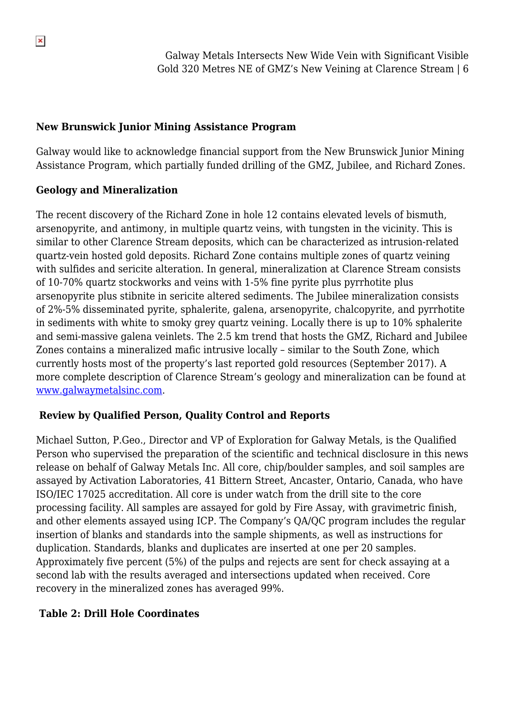### **New Brunswick Junior Mining Assistance Program**

Galway would like to acknowledge financial support from the New Brunswick Junior Mining Assistance Program, which partially funded drilling of the GMZ, Jubilee, and Richard Zones.

## **Geology and Mineralization**

The recent discovery of the Richard Zone in hole 12 contains elevated levels of bismuth, arsenopyrite, and antimony, in multiple quartz veins, with tungsten in the vicinity. This is similar to other Clarence Stream deposits, which can be characterized as intrusion-related quartz-vein hosted gold deposits. Richard Zone contains multiple zones of quartz veining with sulfides and sericite alteration. In general, mineralization at Clarence Stream consists of 10-70% quartz stockworks and veins with 1-5% fine pyrite plus pyrrhotite plus arsenopyrite plus stibnite in sericite altered sediments. The Jubilee mineralization consists of 2%-5% disseminated pyrite, sphalerite, galena, arsenopyrite, chalcopyrite, and pyrrhotite in sediments with white to smoky grey quartz veining. Locally there is up to 10% sphalerite and semi-massive galena veinlets. The 2.5 km trend that hosts the GMZ, Richard and Jubilee Zones contains a mineralized mafic intrusive locally – similar to the South Zone, which currently hosts most of the property's last reported gold resources (September 2017). A more complete description of Clarence Stream's geology and mineralization can be found at [www.galwaymetalsinc.com](http://www.galwaymetalsinc.com).

## **Review by Qualified Person, Quality Control and Reports**

Michael Sutton, P.Geo., Director and VP of Exploration for Galway Metals, is the Qualified Person who supervised the preparation of the scientific and technical disclosure in this news release on behalf of Galway Metals Inc. All core, chip/boulder samples, and soil samples are assayed by Activation Laboratories, 41 Bittern Street, Ancaster, Ontario, Canada, who have ISO/IEC 17025 accreditation. All core is under watch from the drill site to the core processing facility. All samples are assayed for gold by Fire Assay, with gravimetric finish, and other elements assayed using ICP. The Company's QA/QC program includes the regular insertion of blanks and standards into the sample shipments, as well as instructions for duplication. Standards, blanks and duplicates are inserted at one per 20 samples. Approximately five percent (5%) of the pulps and rejects are sent for check assaying at a second lab with the results averaged and intersections updated when received. Core recovery in the mineralized zones has averaged 99%.

## **Table 2: Drill Hole Coordinates**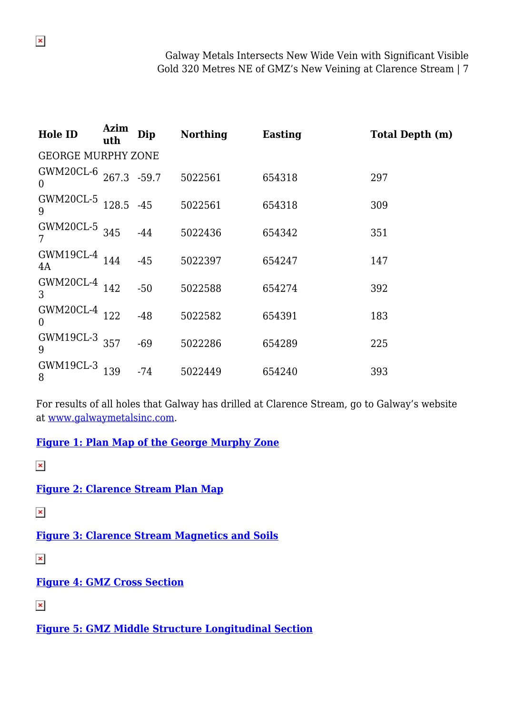| <b>Hole ID</b>            | Azim<br>uth | Dip   | <b>Northing</b> | <b>Easting</b> | <b>Total Depth (m)</b> |  |  |
|---------------------------|-------------|-------|-----------------|----------------|------------------------|--|--|
| <b>GEORGE MURPHY ZONE</b> |             |       |                 |                |                        |  |  |
| GWM20CL-6<br>$\theta$     | 267.3 -59.7 |       | 5022561         | 654318         | 297                    |  |  |
| GWM20CL-5<br>9            | 128.5       | $-45$ | 5022561         | 654318         | 309                    |  |  |
| GWM20CL-5<br>7            | 345         | $-44$ | 5022436         | 654342         | 351                    |  |  |
| GWM19CL-4<br>4A           | 144         | $-45$ | 5022397         | 654247         | 147                    |  |  |
| GWM20CL-4<br>3            | 142         | $-50$ | 5022588         | 654274         | 392                    |  |  |
| GWM20CL-4<br>$\theta$     | 122         | $-48$ | 5022582         | 654391         | 183                    |  |  |
| GWM19CL-3<br>9            | 357         | $-69$ | 5022286         | 654289         | 225                    |  |  |
| GWM19CL-3<br>8            | 139         | $-74$ | 5022449         | 654240         | 393                    |  |  |

For results of all holes that Galway has drilled at Clarence Stream, go to Galway's website at [www.galwaymetalsinc.com](http://www.galwaymetalsinc.com).

#### **[Figure 1: Plan Map of the George Murphy Zone](https://galwaymetalsinc.com/wp-content/uploads/2020/07/FIGURE-1-1.jpg)**

 $\pmb{\times}$ 

**[Figure 2: Clarence Stream Plan Map](https://galwaymetalsinc.com/wp-content/uploads/2020/07/FIGURE-2-1-scaled.jpg)**

 $\pmb{\times}$ 

**[Figure 3: Clarence Stream Magnetics and Soils](https://galwaymetalsinc.com/wp-content/uploads/2020/07/FIGURE-3-1-scaled.jpg)**

 $\pmb{\times}$ 

### **[Figure 4: GMZ Cross Section](https://galwaymetalsinc.com/wp-content/uploads/2020/07/FIGURE-4-1.jpg)**

 $\pmb{\times}$ 

**[Figure 5: GMZ Middle Structure Longitudinal Section](https://galwaymetalsinc.com/wp-content/uploads/2020/07/FIGURE-4.jpg)**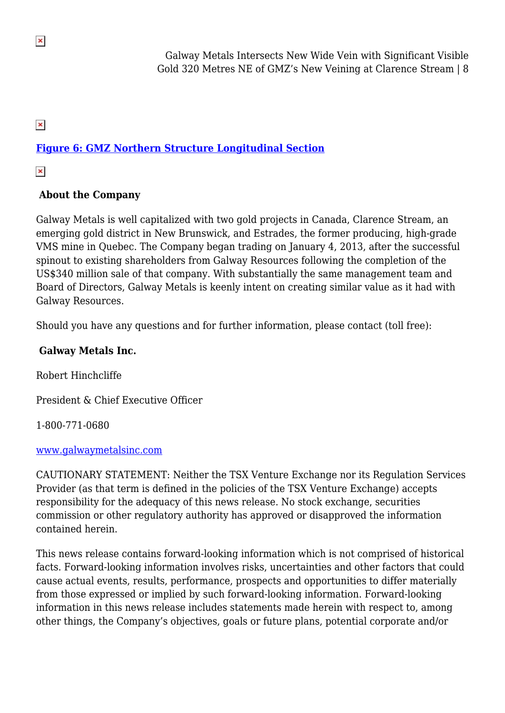$\pmb{\times}$ 

# **[Figure 6: GMZ Northern Structure Longitudinal Section](https://galwaymetalsinc.com/wp-content/uploads/2020/07/FIGURE-5.jpg)**

 $\pmb{\times}$ 

## **About the Company**

Galway Metals is well capitalized with two gold projects in Canada, Clarence Stream, an emerging gold district in New Brunswick, and Estrades, the former producing, high-grade VMS mine in Quebec. The Company began trading on January 4, 2013, after the successful spinout to existing shareholders from Galway Resources following the completion of the US\$340 million sale of that company. With substantially the same management team and Board of Directors, Galway Metals is keenly intent on creating similar value as it had with Galway Resources.

Should you have any questions and for further information, please contact (toll free):

### **Galway Metals Inc.**

Robert Hinchcliffe

President & Chief Executive Officer

1-800-771-0680

#### [www.galwaymetalsinc.com](http://www.galwaymetalsinc.com)

CAUTIONARY STATEMENT: Neither the TSX Venture Exchange nor its Regulation Services Provider (as that term is defined in the policies of the TSX Venture Exchange) accepts responsibility for the adequacy of this news release. No stock exchange, securities commission or other regulatory authority has approved or disapproved the information contained herein.

This news release contains forward-looking information which is not comprised of historical facts. Forward-looking information involves risks, uncertainties and other factors that could cause actual events, results, performance, prospects and opportunities to differ materially from those expressed or implied by such forward-looking information. Forward-looking information in this news release includes statements made herein with respect to, among other things, the Company's objectives, goals or future plans, potential corporate and/or